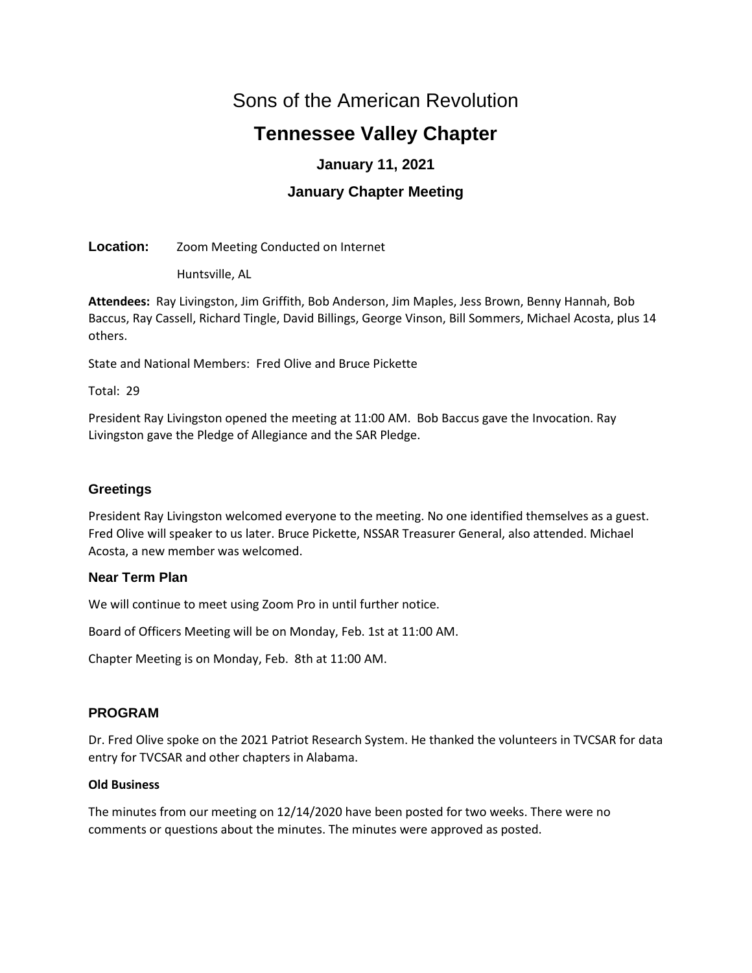# Sons of the American Revolution

# **Tennessee Valley Chapter**

# **January 11, 2021**

# **January Chapter Meeting**

**Location:** Zoom Meeting Conducted on Internet

Huntsville, AL

**Attendees:** Ray Livingston, Jim Griffith, Bob Anderson, Jim Maples, Jess Brown, Benny Hannah, Bob Baccus, Ray Cassell, Richard Tingle, David Billings, George Vinson, Bill Sommers, Michael Acosta, plus 14 others.

State and National Members: Fred Olive and Bruce Pickette

Total: 29

President Ray Livingston opened the meeting at 11:00 AM. Bob Baccus gave the Invocation. Ray Livingston gave the Pledge of Allegiance and the SAR Pledge.

# **Greetings**

President Ray Livingston welcomed everyone to the meeting. No one identified themselves as a guest. Fred Olive will speaker to us later. Bruce Pickette, NSSAR Treasurer General, also attended. Michael Acosta, a new member was welcomed.

# **Near Term Plan**

We will continue to meet using Zoom Pro in until further notice.

Board of Officers Meeting will be on Monday, Feb. 1st at 11:00 AM.

Chapter Meeting is on Monday, Feb. 8th at 11:00 AM.

# **PROGRAM**

Dr. Fred Olive spoke on the 2021 Patriot Research System. He thanked the volunteers in TVCSAR for data entry for TVCSAR and other chapters in Alabama.

# **Old Business**

The minutes from our meeting on 12/14/2020 have been posted for two weeks. There were no comments or questions about the minutes. The minutes were approved as posted.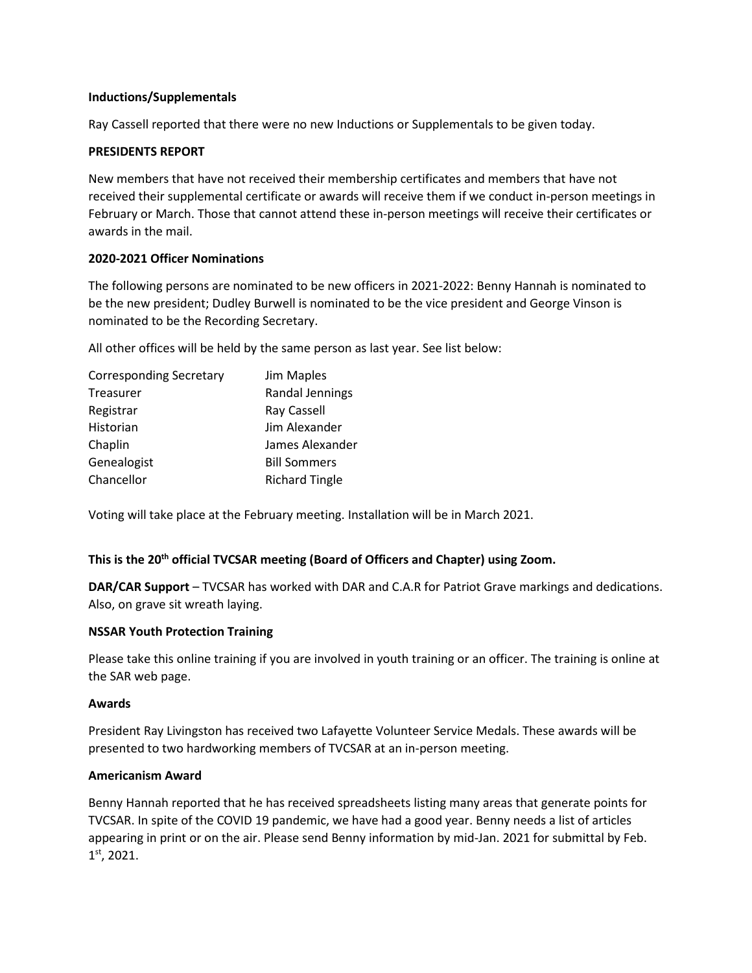## **Inductions/Supplementals**

Ray Cassell reported that there were no new Inductions or Supplementals to be given today.

# **PRESIDENTS REPORT**

New members that have not received their membership certificates and members that have not received their supplemental certificate or awards will receive them if we conduct in-person meetings in February or March. Those that cannot attend these in-person meetings will receive their certificates or awards in the mail.

# **2020-2021 Officer Nominations**

The following persons are nominated to be new officers in 2021-2022: Benny Hannah is nominated to be the new president; Dudley Burwell is nominated to be the vice president and George Vinson is nominated to be the Recording Secretary.

All other offices will be held by the same person as last year. See list below:

| <b>Corresponding Secretary</b> | Jim Maples            |
|--------------------------------|-----------------------|
| <b>Treasurer</b>               | Randal Jennings       |
| Registrar                      | Ray Cassell           |
| Historian                      | Jim Alexander         |
| Chaplin                        | James Alexander       |
| Genealogist                    | <b>Bill Sommers</b>   |
| Chancellor                     | <b>Richard Tingle</b> |

Voting will take place at the February meeting. Installation will be in March 2021.

# **This is the 20th official TVCSAR meeting (Board of Officers and Chapter) using Zoom.**

**DAR/CAR Support** – TVCSAR has worked with DAR and C.A.R for Patriot Grave markings and dedications. Also, on grave sit wreath laying.

# **NSSAR Youth Protection Training**

Please take this online training if you are involved in youth training or an officer. The training is online at the SAR web page.

#### **Awards**

President Ray Livingston has received two Lafayette Volunteer Service Medals. These awards will be presented to two hardworking members of TVCSAR at an in-person meeting.

#### **Americanism Award**

Benny Hannah reported that he has received spreadsheets listing many areas that generate points for TVCSAR. In spite of the COVID 19 pandemic, we have had a good year. Benny needs a list of articles appearing in print or on the air. Please send Benny information by mid-Jan. 2021 for submittal by Feb. 1st, 2021.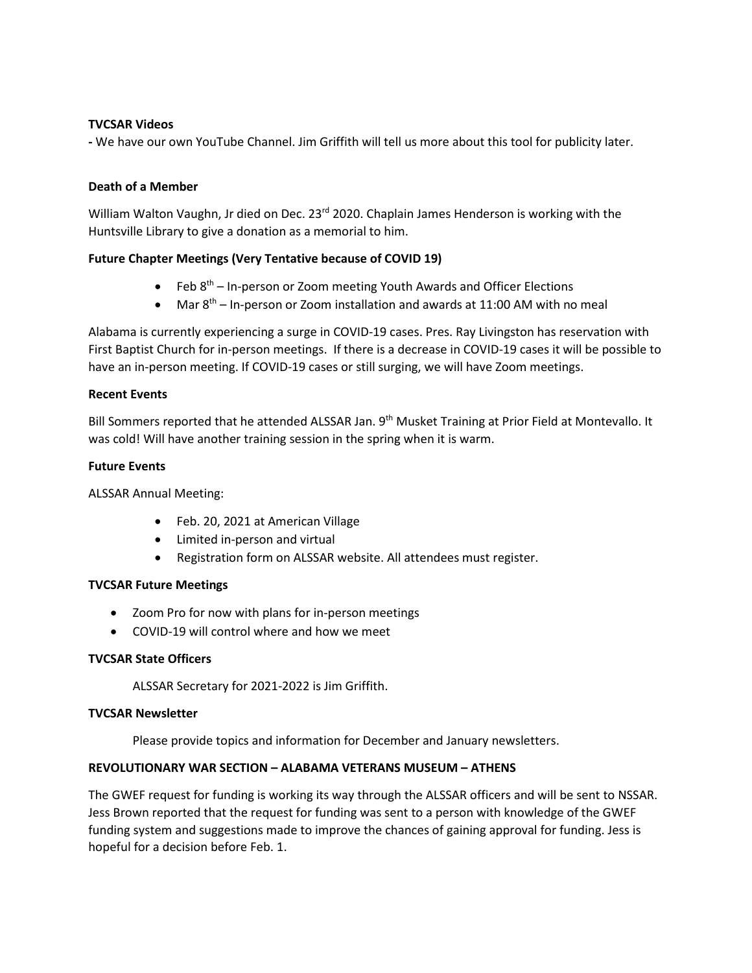# **TVCSAR Videos**

**-** We have our own YouTube Channel. Jim Griffith will tell us more about this tool for publicity later.

#### **Death of a Member**

William Walton Vaughn, Jr died on Dec. 23<sup>rd</sup> 2020. Chaplain James Henderson is working with the Huntsville Library to give a donation as a memorial to him.

#### **Future Chapter Meetings (Very Tentative because of COVID 19)**

- Feb  $8<sup>th</sup>$  In-person or Zoom meeting Youth Awards and Officer Elections
- Mar  $8<sup>th</sup>$  In-person or Zoom installation and awards at 11:00 AM with no meal

Alabama is currently experiencing a surge in COVID-19 cases. Pres. Ray Livingston has reservation with First Baptist Church for in-person meetings. If there is a decrease in COVID-19 cases it will be possible to have an in-person meeting. If COVID-19 cases or still surging, we will have Zoom meetings.

#### **Recent Events**

Bill Sommers reported that he attended ALSSAR Jan. 9<sup>th</sup> Musket Training at Prior Field at Montevallo. It was cold! Will have another training session in the spring when it is warm.

#### **Future Events**

ALSSAR Annual Meeting:

- Feb. 20, 2021 at American Village
- Limited in-person and virtual
- Registration form on ALSSAR website. All attendees must register.

# **TVCSAR Future Meetings**

- Zoom Pro for now with plans for in-person meetings
- COVID-19 will control where and how we meet

# **TVCSAR State Officers**

ALSSAR Secretary for 2021-2022 is Jim Griffith.

#### **TVCSAR Newsletter**

Please provide topics and information for December and January newsletters.

# **REVOLUTIONARY WAR SECTION – ALABAMA VETERANS MUSEUM – ATHENS**

The GWEF request for funding is working its way through the ALSSAR officers and will be sent to NSSAR. Jess Brown reported that the request for funding was sent to a person with knowledge of the GWEF funding system and suggestions made to improve the chances of gaining approval for funding. Jess is hopeful for a decision before Feb. 1.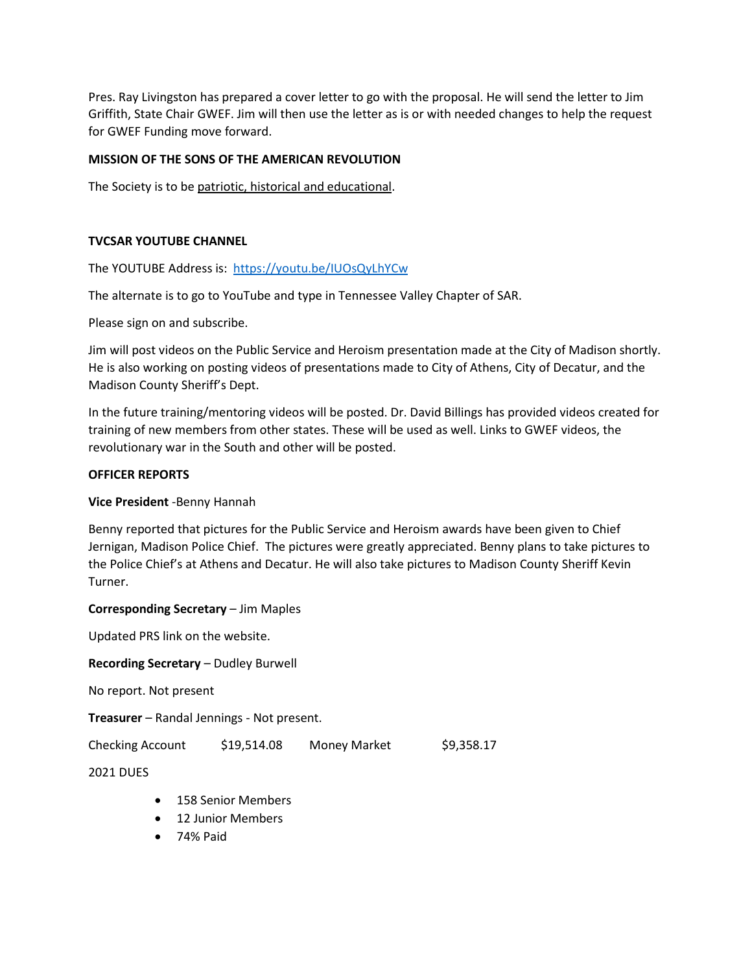Pres. Ray Livingston has prepared a cover letter to go with the proposal. He will send the letter to Jim Griffith, State Chair GWEF. Jim will then use the letter as is or with needed changes to help the request for GWEF Funding move forward.

# **MISSION OF THE SONS OF THE AMERICAN REVOLUTION**

The Society is to be patriotic, historical and educational.

# **TVCSAR YOUTUBE CHANNEL**

The YOUTUBE Address is: [https://youtu.be/IUOsQyLhYCw](about:blank)

The alternate is to go to YouTube and type in Tennessee Valley Chapter of SAR.

Please sign on and subscribe.

Jim will post videos on the Public Service and Heroism presentation made at the City of Madison shortly. He is also working on posting videos of presentations made to City of Athens, City of Decatur, and the Madison County Sheriff's Dept.

In the future training/mentoring videos will be posted. Dr. David Billings has provided videos created for training of new members from other states. These will be used as well. Links to GWEF videos, the revolutionary war in the South and other will be posted.

#### **OFFICER REPORTS**

#### **Vice President** -Benny Hannah

Benny reported that pictures for the Public Service and Heroism awards have been given to Chief Jernigan, Madison Police Chief. The pictures were greatly appreciated. Benny plans to take pictures to the Police Chief's at Athens and Decatur. He will also take pictures to Madison County Sheriff Kevin Turner.

#### **Corresponding Secretary** – Jim Maples

Updated PRS link on the website.

**Recording Secretary** – Dudley Burwell

No report. Not present

**Treasurer** – Randal Jennings - Not present.

Checking Account \$19,514.08 Money Market \$9,358.17

2021 DUES

- 158 Senior Members
- 12 Junior Members
- 74% Paid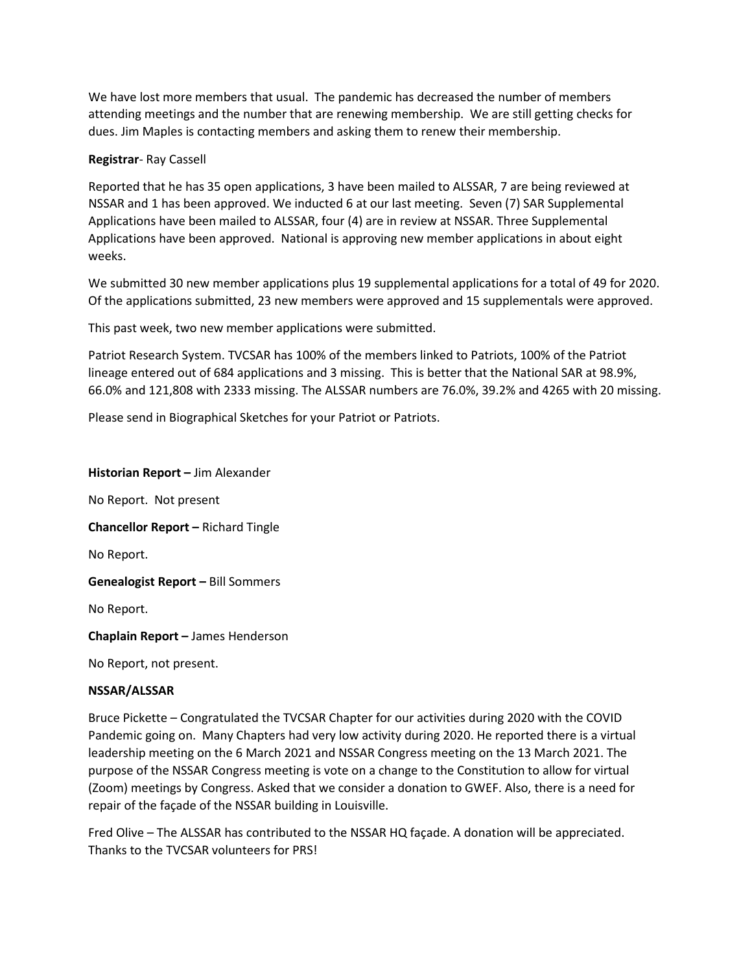We have lost more members that usual. The pandemic has decreased the number of members attending meetings and the number that are renewing membership. We are still getting checks for dues. Jim Maples is contacting members and asking them to renew their membership.

# **Registrar**- Ray Cassell

Reported that he has 35 open applications, 3 have been mailed to ALSSAR, 7 are being reviewed at NSSAR and 1 has been approved. We inducted 6 at our last meeting. Seven (7) SAR Supplemental Applications have been mailed to ALSSAR, four (4) are in review at NSSAR. Three Supplemental Applications have been approved. National is approving new member applications in about eight weeks.

We submitted 30 new member applications plus 19 supplemental applications for a total of 49 for 2020. Of the applications submitted, 23 new members were approved and 15 supplementals were approved.

This past week, two new member applications were submitted.

Patriot Research System. TVCSAR has 100% of the members linked to Patriots, 100% of the Patriot lineage entered out of 684 applications and 3 missing. This is better that the National SAR at 98.9%, 66.0% and 121,808 with 2333 missing. The ALSSAR numbers are 76.0%, 39.2% and 4265 with 20 missing.

Please send in Biographical Sketches for your Patriot or Patriots.

#### **Historian Report –** Jim Alexander

No Report. Not present **Chancellor Report –** Richard Tingle No Report.

**Genealogist Report –** Bill Sommers

No Report.

**Chaplain Report –** James Henderson

No Report, not present.

# **NSSAR/ALSSAR**

Bruce Pickette – Congratulated the TVCSAR Chapter for our activities during 2020 with the COVID Pandemic going on. Many Chapters had very low activity during 2020. He reported there is a virtual leadership meeting on the 6 March 2021 and NSSAR Congress meeting on the 13 March 2021. The purpose of the NSSAR Congress meeting is vote on a change to the Constitution to allow for virtual (Zoom) meetings by Congress. Asked that we consider a donation to GWEF. Also, there is a need for repair of the façade of the NSSAR building in Louisville.

Fred Olive – The ALSSAR has contributed to the NSSAR HQ façade. A donation will be appreciated. Thanks to the TVCSAR volunteers for PRS!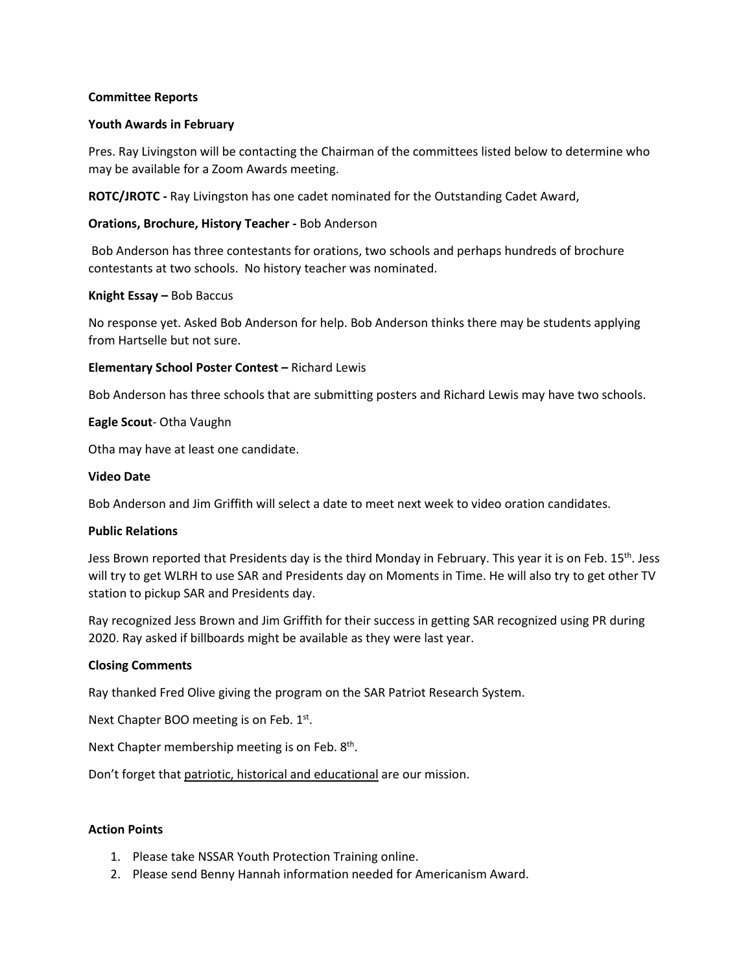#### **Committee Reports**

#### **Youth Awards in February**

Pres. Ray Livingston will be contacting the Chairman of the committees listed below to determine who may be available for a Zoom Awards meeting.

**ROTC/JROTC -** Ray Livingston has one cadet nominated for the Outstanding Cadet Award,

## **Orations, Brochure, History Teacher -** Bob Anderson

Bob Anderson has three contestants for orations, two schools and perhaps hundreds of brochure contestants at two schools. No history teacher was nominated.

#### **Knight Essay –** Bob Baccus

No response yet. Asked Bob Anderson for help. Bob Anderson thinks there may be students applying from Hartselle but not sure.

# **Elementary School Poster Contest –** Richard Lewis

Bob Anderson has three schools that are submitting posters and Richard Lewis may have two schools.

#### **Eagle Scout**- Otha Vaughn

Otha may have at least one candidate.

#### **Video Date**

Bob Anderson and Jim Griffith will select a date to meet next week to video oration candidates.

#### **Public Relations**

Jess Brown reported that Presidents day is the third Monday in February. This year it is on Feb. 15<sup>th</sup>. Jess will try to get WLRH to use SAR and Presidents day on Moments in Time. He will also try to get other TV station to pickup SAR and Presidents day.

Ray recognized Jess Brown and Jim Griffith for their success in getting SAR recognized using PR during 2020. Ray asked if billboards might be available as they were last year.

# **Closing Comments**

Ray thanked Fred Olive giving the program on the SAR Patriot Research System.

Next Chapter BOO meeting is on Feb.  $1<sup>st</sup>$ .

Next Chapter membership meeting is on Feb.  $8<sup>th</sup>$ .

Don't forget that patriotic, historical and educational are our mission.

#### **Action Points**

- 1. Please take NSSAR Youth Protection Training online.
- 2. Please send Benny Hannah information needed for Americanism Award.